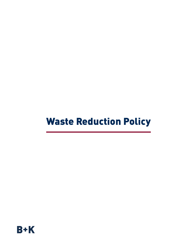## Waste Reduction Policy